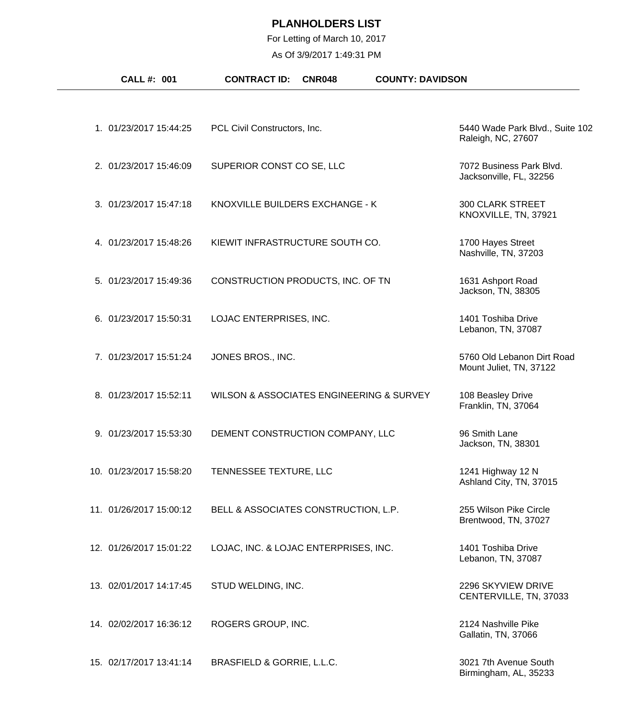## **PLANHOLDERS LIST**

For Letting of March 10, 2017

As Of 3/9/2017 1:49:31 PM

| <b>CALL #: 001</b>      | <b>CONTRACT ID:</b><br><b>COUNTY: DAVIDSON</b><br><b>CNR048</b> |                                                       |
|-------------------------|-----------------------------------------------------------------|-------------------------------------------------------|
| 1. 01/23/2017 15:44:25  | PCL Civil Constructors, Inc.                                    | 5440 Wade Park Blvd., Suite 102<br>Raleigh, NC, 27607 |
| 2. 01/23/2017 15:46:09  | SUPERIOR CONST CO SE, LLC                                       | 7072 Business Park Blvd.<br>Jacksonville, FL, 32256   |
| 3. 01/23/2017 15:47:18  | KNOXVILLE BUILDERS EXCHANGE - K                                 | <b>300 CLARK STREET</b><br>KNOXVILLE, TN, 37921       |
| 4. 01/23/2017 15:48:26  | KIEWIT INFRASTRUCTURE SOUTH CO.                                 | 1700 Hayes Street<br>Nashville, TN, 37203             |
| 5. 01/23/2017 15:49:36  | CONSTRUCTION PRODUCTS, INC. OF TN                               | 1631 Ashport Road<br>Jackson, TN, 38305               |
| 6. 01/23/2017 15:50:31  | LOJAC ENTERPRISES, INC.                                         | 1401 Toshiba Drive<br>Lebanon, TN, 37087              |
| 7. 01/23/2017 15:51:24  | JONES BROS., INC.                                               | 5760 Old Lebanon Dirt Road<br>Mount Juliet, TN, 37122 |
| 8. 01/23/2017 15:52:11  | WILSON & ASSOCIATES ENGINEERING & SURVEY                        | 108 Beasley Drive<br>Franklin, TN, 37064              |
| 9. 01/23/2017 15:53:30  | DEMENT CONSTRUCTION COMPANY, LLC                                | 96 Smith Lane<br>Jackson, TN, 38301                   |
| 10. 01/23/2017 15:58:20 | TENNESSEE TEXTURE, LLC                                          | 1241 Highway 12 N<br>Ashland City, TN, 37015          |
| 11. 01/26/2017 15:00:12 | BELL & ASSOCIATES CONSTRUCTION, L.P.                            | 255 Wilson Pike Circle<br>Brentwood, TN, 37027        |
| 12. 01/26/2017 15:01:22 | LOJAC, INC. & LOJAC ENTERPRISES, INC.                           | 1401 Toshiba Drive<br>Lebanon, TN, 37087              |
| 13. 02/01/2017 14:17:45 | STUD WELDING, INC.                                              | 2296 SKYVIEW DRIVE<br>CENTERVILLE, TN, 37033          |
| 14. 02/02/2017 16:36:12 | ROGERS GROUP, INC.                                              | 2124 Nashville Pike<br>Gallatin, TN, 37066            |
| 15. 02/17/2017 13:41:14 | BRASFIELD & GORRIE, L.L.C.                                      | 3021 7th Avenue South<br>Birmingham, AL, 35233        |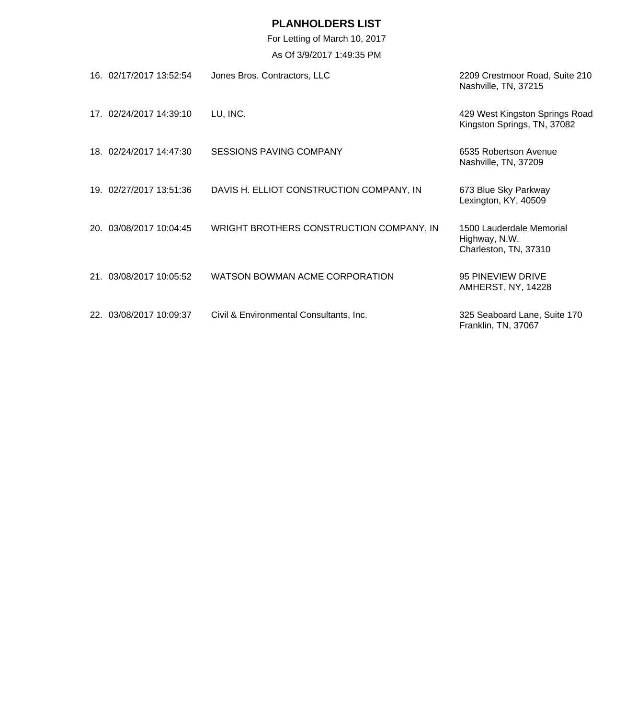## **PLANHOLDERS LIST**

For Letting of March 10, 2017

As Of 3/9/2017 1:49:35 PM

| 16. 02/17/2017 13:52:54 | Jones Bros. Contractors, LLC             | 2209 Crestmoor Road, Suite 210<br>Nashville, TN, 37215             |
|-------------------------|------------------------------------------|--------------------------------------------------------------------|
| 17. 02/24/2017 14:39:10 | LU, INC.                                 | 429 West Kingston Springs Road<br>Kingston Springs, TN, 37082      |
| 18. 02/24/2017 14:47:30 | <b>SESSIONS PAVING COMPANY</b>           | 6535 Robertson Avenue<br>Nashville, TN, 37209                      |
| 19. 02/27/2017 13:51:36 | DAVIS H. ELLIOT CONSTRUCTION COMPANY, IN | 673 Blue Sky Parkway<br>Lexington, KY, 40509                       |
| 20. 03/08/2017 10:04:45 | WRIGHT BROTHERS CONSTRUCTION COMPANY, IN | 1500 Lauderdale Memorial<br>Highway, N.W.<br>Charleston, TN, 37310 |
| 21. 03/08/2017 10:05:52 | WATSON BOWMAN ACME CORPORATION           | 95 PINEVIEW DRIVE<br>AMHERST, NY, 14228                            |
| 22. 03/08/2017 10:09:37 | Civil & Environmental Consultants, Inc.  | 325 Seaboard Lane, Suite 170<br>Franklin, TN, 37067                |